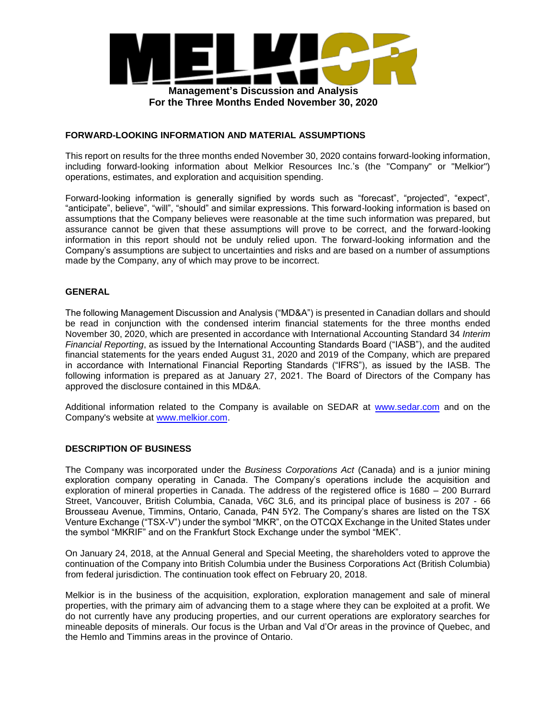

#### **FORWARD-LOOKING INFORMATION AND MATERIAL ASSUMPTIONS**

This report on results for the three months ended November 30, 2020 contains forward-looking information, including forward-looking information about Melkior Resources Inc.'s (the "Company" or "Melkior") operations, estimates, and exploration and acquisition spending.

Forward-looking information is generally signified by words such as "forecast", "projected", "expect", "anticipate", believe", "will", "should" and similar expressions. This forward-looking information is based on assumptions that the Company believes were reasonable at the time such information was prepared, but assurance cannot be given that these assumptions will prove to be correct, and the forward-looking information in this report should not be unduly relied upon. The forward-looking information and the Company's assumptions are subject to uncertainties and risks and are based on a number of assumptions made by the Company, any of which may prove to be incorrect.

## **GENERAL**

The following Management Discussion and Analysis ("MD&A") is presented in Canadian dollars and should be read in conjunction with the condensed interim financial statements for the three months ended November 30, 2020, which are presented in accordance with International Accounting Standard 34 *Interim Financial Reporting*, as issued by the International Accounting Standards Board ("IASB"), and the audited financial statements for the years ended August 31, 2020 and 2019 of the Company, which are prepared in accordance with International Financial Reporting Standards ("IFRS"), as issued by the IASB. The following information is prepared as at January 27, 2021. The Board of Directors of the Company has approved the disclosure contained in this MD&A.

Additional information related to the Company is available on SEDAR at www.sedar.com and on the Company's website at www.melkior.com.

#### **DESCRIPTION OF BUSINESS**

The Company was incorporated under the *Business Corporations Act* (Canada) and is a junior mining exploration company operating in Canada. The Company's operations include the acquisition and exploration of mineral properties in Canada. The address of the registered office is 1680 – 200 Burrard Street, Vancouver, British Columbia, Canada, V6C 3L6, and its principal place of business is 207 - 66 Brousseau Avenue, Timmins, Ontario, Canada, P4N 5Y2. The Company's shares are listed on the TSX Venture Exchange ("TSX-V") under the symbol "MKR", on the OTCQX Exchange in the United States under the symbol "MKRIF" and on the Frankfurt Stock Exchange under the symbol "MEK".

On January 24, 2018, at the Annual General and Special Meeting, the shareholders voted to approve the continuation of the Company into British Columbia under the Business Corporations Act (British Columbia) from federal jurisdiction. The continuation took effect on February 20, 2018.

Melkior is in the business of the acquisition, exploration, exploration management and sale of mineral properties, with the primary aim of advancing them to a stage where they can be exploited at a profit. We do not currently have any producing properties, and our current operations are exploratory searches for mineable deposits of minerals. Our focus is the Urban and Val d'Or areas in the province of Quebec, and the Hemlo and Timmins areas in the province of Ontario.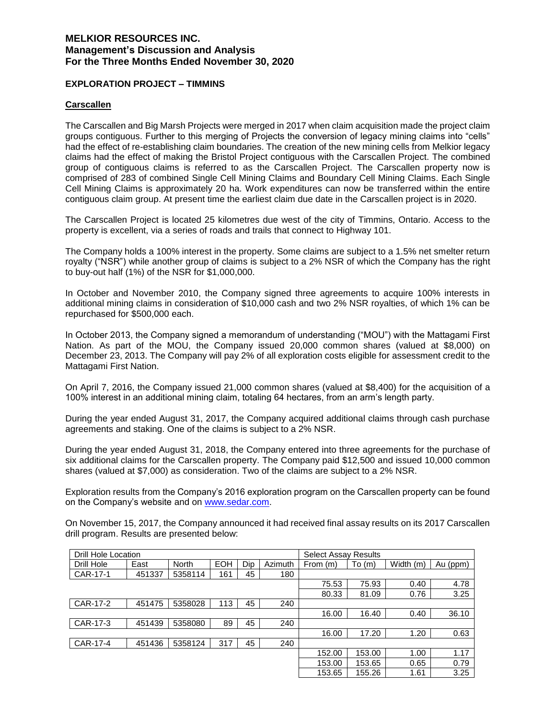#### **EXPLORATION PROJECT – TIMMINS**

#### **Carscallen**

The Carscallen and Big Marsh Projects were merged in 2017 when claim acquisition made the project claim groups contiguous. Further to this merging of Projects the conversion of legacy mining claims into "cells" had the effect of re-establishing claim boundaries. The creation of the new mining cells from Melkior legacy claims had the effect of making the Bristol Project contiguous with the Carscallen Project. The combined group of contiguous claims is referred to as the Carscallen Project. The Carscallen property now is comprised of 283 of combined Single Cell Mining Claims and Boundary Cell Mining Claims. Each Single Cell Mining Claims is approximately 20 ha. Work expenditures can now be transferred within the entire contiguous claim group. At present time the earliest claim due date in the Carscallen project is in 2020.

The Carscallen Project is located 25 kilometres due west of the city of Timmins, Ontario. Access to the property is excellent, via a series of roads and trails that connect to Highway 101.

The Company holds a 100% interest in the property. Some claims are subject to a 1.5% net smelter return royalty ("NSR") while another group of claims is subject to a 2% NSR of which the Company has the right to buy-out half (1%) of the NSR for \$1,000,000.

In October and November 2010, the Company signed three agreements to acquire 100% interests in additional mining claims in consideration of \$10,000 cash and two 2% NSR royalties, of which 1% can be repurchased for \$500,000 each.

In October 2013, the Company signed a memorandum of understanding ("MOU") with the Mattagami First Nation. As part of the MOU, the Company issued 20,000 common shares (valued at \$8,000) on December 23, 2013. The Company will pay 2% of all exploration costs eligible for assessment credit to the Mattagami First Nation.

On April 7, 2016, the Company issued 21,000 common shares (valued at \$8,400) for the acquisition of a 100% interest in an additional mining claim, totaling 64 hectares, from an arm's length party.

During the year ended August 31, 2017, the Company acquired additional claims through cash purchase agreements and staking. One of the claims is subject to a 2% NSR.

During the year ended August 31, 2018, the Company entered into three agreements for the purchase of six additional claims for the Carscallen property. The Company paid \$12,500 and issued 10,000 common shares (valued at \$7,000) as consideration. Two of the claims are subject to a 2% NSR.

Exploration results from the Company's 2016 exploration program on the Carscallen property can be found on the Company's website and on www.sedar.com.

On November 15, 2017, the Company announced it had received final assay results on its 2017 Carscallen drill program. Results are presented below:

| Drill Hole Location |        |              |            |     | <b>Select Assay Results</b> |          |        |           |          |
|---------------------|--------|--------------|------------|-----|-----------------------------|----------|--------|-----------|----------|
| Drill Hole          | East   | <b>North</b> | <b>EOH</b> | Dip | Azimuth                     | From (m) | To(m)  | Width (m) | Au (ppm) |
| CAR-17-1            | 451337 | 5358114      | 161        | 45  | 180                         |          |        |           |          |
|                     |        |              |            |     |                             | 75.53    | 75.93  | 0.40      | 4.78     |
|                     |        |              |            |     |                             | 80.33    | 81.09  | 0.76      | 3.25     |
| CAR-17-2            | 451475 | 5358028      | 113        | 45  | 240                         |          |        |           |          |
|                     |        |              |            |     |                             | 16.00    | 16.40  | 0.40      | 36.10    |
| CAR-17-3            | 451439 | 5358080      | 89         | 45  | 240                         |          |        |           |          |
|                     |        |              |            |     |                             | 16.00    | 17.20  | 1.20      | 0.63     |
| CAR-17-4            | 451436 | 5358124      | 317        | 45  | 240                         |          |        |           |          |
|                     |        |              |            |     |                             | 152.00   | 153.00 | 1.00      | 1.17     |
|                     |        |              |            |     |                             | 153.00   | 153.65 | 0.65      | 0.79     |
|                     |        |              |            |     |                             | 153.65   | 155.26 | 1.61      | 3.25     |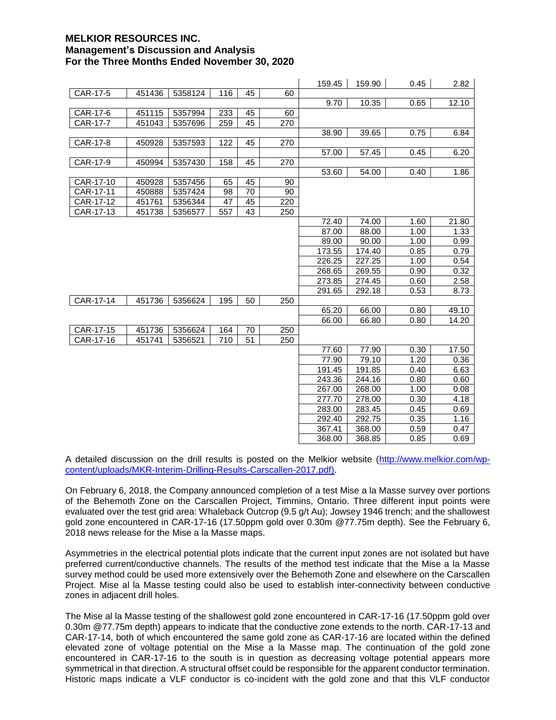|           |        |         |     |    |     | 159.45 | 159.90 | 0.45 | 2.82  |
|-----------|--------|---------|-----|----|-----|--------|--------|------|-------|
| CAR-17-5  | 451436 | 5358124 | 116 | 45 | 60  |        |        |      |       |
|           |        |         |     |    |     | 9.70   | 10.35  | 0.65 | 12.10 |
| CAR-17-6  | 451115 | 5357994 | 233 | 45 | 60  |        |        |      |       |
| CAR-17-7  | 451043 | 5357696 | 259 | 45 | 270 |        |        |      |       |
|           |        |         |     |    |     | 38.90  | 39.65  | 0.75 | 6.84  |
| CAR-17-8  | 450928 | 5357593 | 122 | 45 | 270 |        |        |      |       |
|           |        |         |     |    |     | 57.00  | 57.45  | 0.45 | 6.20  |
| CAR-17-9  | 450994 | 5357430 | 158 | 45 | 270 |        |        |      |       |
|           |        |         |     |    |     | 53.60  | 54.00  | 0.40 | 1.86  |
| CAR-17-10 | 450928 | 5357456 | 65  | 45 | 90  |        |        |      |       |
| CAR-17-11 | 450888 | 5357424 | 98  | 70 | 90  |        |        |      |       |
| CAR-17-12 | 451761 | 5356344 | 47  | 45 | 220 |        |        |      |       |
| CAR-17-13 | 451738 | 5356577 | 557 | 43 | 250 |        |        |      |       |
|           |        |         |     |    |     | 72.40  | 74.00  | 1.60 | 21.80 |
|           |        |         |     |    |     | 87.00  | 88.00  | 1.00 | 1.33  |
|           |        |         |     |    |     | 89.00  | 90.00  | 1.00 | 0.99  |
|           |        |         |     |    |     | 173.55 | 174.40 | 0.85 | 0.79  |
|           |        |         |     |    |     | 226.25 | 227.25 | 1.00 | 0.54  |
|           |        |         |     |    |     | 268.65 | 269.55 | 0.90 | 0.32  |
|           |        |         |     |    |     | 273.85 | 274.45 | 0.60 | 2.58  |
|           |        |         |     |    |     | 291.65 | 292.18 | 0.53 | 8.73  |
| CAR-17-14 | 451736 | 5356624 | 195 | 50 | 250 |        |        |      |       |
|           |        |         |     |    |     | 65.20  | 66.00  | 0.80 | 49.10 |
|           |        |         |     |    |     | 66.00  | 66.80  | 0.80 | 14.20 |
| CAR-17-15 | 451736 | 5356624 | 164 | 70 | 250 |        |        |      |       |
| CAR-17-16 | 451741 | 5356521 | 710 | 51 | 250 |        |        |      |       |
|           |        |         |     |    |     | 77.60  | 77.90  | 0.30 | 17.50 |
|           |        |         |     |    |     | 77.90  | 79.10  | 1.20 | 0.36  |
|           |        |         |     |    |     | 191.45 | 191.85 | 0.40 | 6.63  |
|           |        |         |     |    |     | 243.36 | 244.16 | 0.80 | 0.60  |
|           |        |         |     |    |     | 267.00 | 268.00 | 1.00 | 0.08  |
|           |        |         |     |    |     | 277.70 | 278.00 | 0.30 | 4.18  |
|           |        |         |     |    |     | 283.00 | 283.45 | 0.45 | 0.69  |
|           |        |         |     |    |     | 292.40 | 292.75 | 0.35 | 1.16  |
|           |        |         |     |    |     | 367.41 | 368.00 | 0.59 | 0.47  |
|           |        |         |     |    |     | 368.00 | 368.85 | 0.85 | 0.69  |

A detailed discussion on the drill results is posted on the Melkior website (http://www.melkior.com/wpcontent/uploads/MKR-Interim-Drilling-Results-Carscallen-2017.pdf).

On February 6, 2018, the Company announced completion of a test Mise a la Masse survey over portions of the Behemoth Zone on the Carscallen Project, Timmins, Ontario. Three different input points were evaluated over the test grid area: Whaleback Outcrop (9.5 g/t Au); Jowsey 1946 trench; and the shallowest gold zone encountered in CAR-17-16 (17.50ppm gold over 0.30m @77.75m depth). See the February 6, 2018 news release for the Mise a la Masse maps.

Asymmetries in the electrical potential plots indicate that the current input zones are not isolated but have preferred current/conductive channels. The results of the method test indicate that the Mise a la Masse survey method could be used more extensively over the Behemoth Zone and elsewhere on the Carscallen Project. Mise al la Masse testing could also be used to establish inter-connectivity between conductive zones in adjacent drill holes.

The Mise al la Masse testing of the shallowest gold zone encountered in CAR-17-16 (17.50ppm gold over 0.30m @77.75m depth) appears to indicate that the conductive zone extends to the north. CAR-17-13 and CAR-17-14, both of which encountered the same gold zone as CAR-17-16 are located within the defined elevated zone of voltage potential on the Mise a la Masse map. The continuation of the gold zone encountered in CAR-17-16 to the south is in question as decreasing voltage potential appears more symmetrical in that direction. A structural offset could be responsible for the apparent conductor termination. Historic maps indicate a VLF conductor is co-incident with the gold zone and that this VLF conductor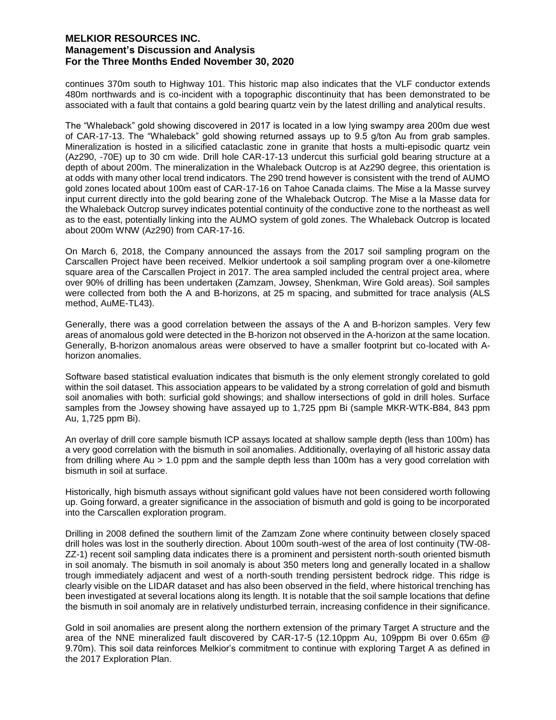continues 370m south to Highway 101. This historic map also indicates that the VLF conductor extends 480m northwards and is co-incident with a topographic discontinuity that has been demonstrated to be associated with a fault that contains a gold bearing quartz vein by the latest drilling and analytical results.

The "Whaleback" gold showing discovered in 2017 is located in a low lying swampy area 200m due west of CAR-17-13. The "Whaleback" gold showing returned assays up to 9.5 g/ton Au from grab samples. Mineralization is hosted in a silicified cataclastic zone in granite that hosts a multi-episodic quartz vein (Az290, -70E) up to 30 cm wide. Drill hole CAR-17-13 undercut this surficial gold bearing structure at a depth of about 200m. The mineralization in the Whaleback Outcrop is at Az290 degree, this orientation is at odds with many other local trend indicators. The 290 trend however is consistent with the trend of AUMO gold zones located about 100m east of CAR-17-16 on Tahoe Canada claims. The Mise a la Masse survey input current directly into the gold bearing zone of the Whaleback Outcrop. The Mise a la Masse data for the Whaleback Outcrop survey indicates potential continuity of the conductive zone to the northeast as well as to the east, potentially linking into the AUMO system of gold zones. The Whaleback Outcrop is located about 200m WNW (Az290) from CAR-17-16.

On March 6, 2018, the Company announced the assays from the 2017 soil sampling program on the Carscallen Project have been received. Melkior undertook a soil sampling program over a one-kilometre square area of the Carscallen Project in 2017. The area sampled included the central project area, where over 90% of drilling has been undertaken (Zamzam, Jowsey, Shenkman, Wire Gold areas). Soil samples were collected from both the A and B-horizons, at 25 m spacing, and submitted for trace analysis (ALS method, AuME-TL43).

Generally, there was a good correlation between the assays of the A and B-horizon samples. Very few areas of anomalous gold were detected in the B-horizon not observed in the A-horizon at the same location. Generally, B-horizon anomalous areas were observed to have a smaller footprint but co-located with Ahorizon anomalies.

Software based statistical evaluation indicates that bismuth is the only element strongly corelated to gold within the soil dataset. This association appears to be validated by a strong correlation of gold and bismuth soil anomalies with both: surficial gold showings; and shallow intersections of gold in drill holes. Surface samples from the Jowsey showing have assayed up to 1,725 ppm Bi (sample MKR-WTK-B84, 843 ppm Au, 1,725 ppm Bi).

An overlay of drill core sample bismuth ICP assays located at shallow sample depth (less than 100m) has a very good correlation with the bismuth in soil anomalies. Additionally, overlaying of all historic assay data from drilling where Au > 1.0 ppm and the sample depth less than 100m has a very good correlation with bismuth in soil at surface.

Historically, high bismuth assays without significant gold values have not been considered worth following up. Going forward, a greater significance in the association of bismuth and gold is going to be incorporated into the Carscallen exploration program.

Drilling in 2008 defined the southern limit of the Zamzam Zone where continuity between closely spaced drill holes was lost in the southerly direction. About 100m south-west of the area of lost continuity (TW-08- ZZ-1) recent soil sampling data indicates there is a prominent and persistent north-south oriented bismuth in soil anomaly. The bismuth in soil anomaly is about 350 meters long and generally located in a shallow trough immediately adjacent and west of a north-south trending persistent bedrock ridge. This ridge is clearly visible on the LIDAR dataset and has also been observed in the field, where historical trenching has been investigated at several locations along its length. It is notable that the soil sample locations that define the bismuth in soil anomaly are in relatively undisturbed terrain, increasing confidence in their significance.

Gold in soil anomalies are present along the northern extension of the primary Target A structure and the area of the NNE mineralized fault discovered by CAR-17-5 (12.10ppm Au, 109ppm Bi over 0.65m @ 9.70m). This soil data reinforces Melkior's commitment to continue with exploring Target A as defined in the 2017 Exploration Plan.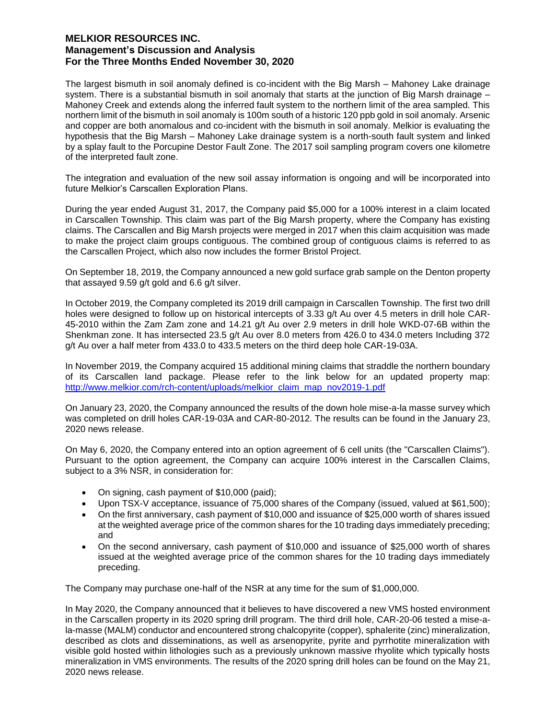The largest bismuth in soil anomaly defined is co-incident with the Big Marsh – Mahoney Lake drainage system. There is a substantial bismuth in soil anomaly that starts at the junction of Big Marsh drainage – Mahoney Creek and extends along the inferred fault system to the northern limit of the area sampled. This northern limit of the bismuth in soil anomaly is 100m south of a historic 120 ppb gold in soil anomaly. Arsenic and copper are both anomalous and co-incident with the bismuth in soil anomaly. Melkior is evaluating the hypothesis that the Big Marsh – Mahoney Lake drainage system is a north-south fault system and linked by a splay fault to the Porcupine Destor Fault Zone. The 2017 soil sampling program covers one kilometre of the interpreted fault zone.

The integration and evaluation of the new soil assay information is ongoing and will be incorporated into future Melkior's Carscallen Exploration Plans.

During the year ended August 31, 2017, the Company paid \$5,000 for a 100% interest in a claim located in Carscallen Township. This claim was part of the Big Marsh property, where the Company has existing claims. The Carscallen and Big Marsh projects were merged in 2017 when this claim acquisition was made to make the project claim groups contiguous. The combined group of contiguous claims is referred to as the Carscallen Project, which also now includes the former Bristol Project.

On September 18, 2019, the Company announced a new gold surface grab sample on the Denton property that assayed 9.59 g/t gold and 6.6 g/t silver.

In October 2019, the Company completed its 2019 drill campaign in Carscallen Township. The first two drill holes were designed to follow up on historical intercepts of 3.33 g/t Au over 4.5 meters in drill hole CAR-45-2010 within the Zam Zam zone and 14.21 g/t Au over 2.9 meters in drill hole WKD-07-6B within the Shenkman zone. It has intersected 23.5 g/t Au over 8.0 meters from 426.0 to 434.0 meters Including 372 g/t Au over a half meter from 433.0 to 433.5 meters on the third deep hole CAR-19-03A.

In November 2019, the Company acquired 15 additional mining claims that straddle the northern boundary of its Carscallen land package. Please refer to the link below for an updated property map: http://www.melkior.com/rch-content/uploads/melkior\_claim\_map\_nov2019-1.pdf

On January 23, 2020, the Company announced the results of the down hole mise-a-la masse survey which was completed on drill holes CAR-19-03A and CAR-80-2012. The results can be found in the January 23, 2020 news release.

On May 6, 2020, the Company entered into an option agreement of 6 cell units (the "Carscallen Claims"). Pursuant to the option agreement, the Company can acquire 100% interest in the Carscallen Claims, subject to a 3% NSR, in consideration for:

- On signing, cash payment of \$10,000 (paid);
- Upon TSX-V acceptance, issuance of 75,000 shares of the Company (issued, valued at \$61,500);
- On the first anniversary, cash payment of \$10,000 and issuance of \$25,000 worth of shares issued at the weighted average price of the common shares for the 10 trading days immediately preceding; and
- On the second anniversary, cash payment of \$10,000 and issuance of \$25,000 worth of shares issued at the weighted average price of the common shares for the 10 trading days immediately preceding.

The Company may purchase one-half of the NSR at any time for the sum of \$1,000,000.

In May 2020, the Company announced that it believes to have discovered a new VMS hosted environment in the Carscallen property in its 2020 spring drill program. The third drill hole, CAR-20-06 tested a mise-ala-masse (MALM) conductor and encountered strong chalcopyrite (copper), sphalerite (zinc) mineralization, described as clots and disseminations, as well as arsenopyrite, pyrite and pyrrhotite mineralization with visible gold hosted within lithologies such as a previously unknown massive rhyolite which typically hosts mineralization in VMS environments. The results of the 2020 spring drill holes can be found on the May 21, 2020 news release.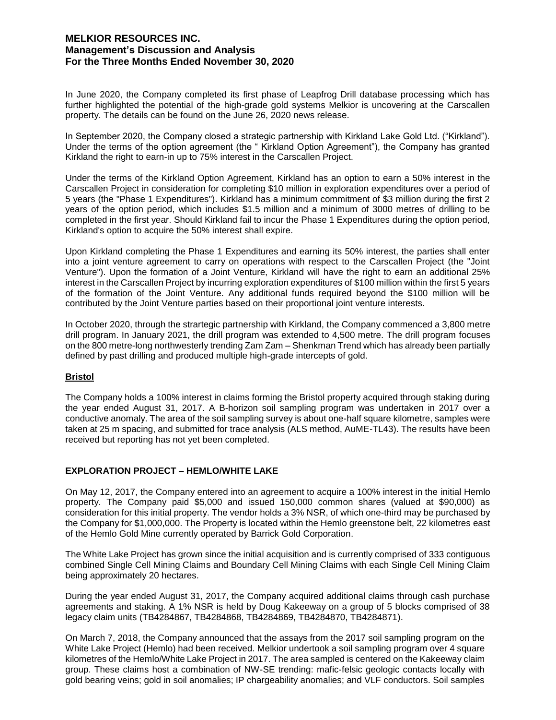In June 2020, the Company completed its first phase of Leapfrog Drill database processing which has further highlighted the potential of the high-grade gold systems Melkior is uncovering at the Carscallen property. The details can be found on the June 26, 2020 news release.

In September 2020, the Company closed a strategic partnership with Kirkland Lake Gold Ltd. ("Kirkland"). Under the terms of the option agreement (the " Kirkland Option Agreement"), the Company has granted Kirkland the right to earn-in up to 75% interest in the Carscallen Project.

Under the terms of the Kirkland Option Agreement, Kirkland has an option to earn a 50% interest in the Carscallen Project in consideration for completing \$10 million in exploration expenditures over a period of 5 years (the "Phase 1 Expenditures"). Kirkland has a minimum commitment of \$3 million during the first 2 years of the option period, which includes \$1.5 million and a minimum of 3000 metres of drilling to be completed in the first year. Should Kirkland fail to incur the Phase 1 Expenditures during the option period, Kirkland's option to acquire the 50% interest shall expire.

Upon Kirkland completing the Phase 1 Expenditures and earning its 50% interest, the parties shall enter into a joint venture agreement to carry on operations with respect to the Carscallen Project (the "Joint Venture"). Upon the formation of a Joint Venture, Kirkland will have the right to earn an additional 25% interest in the Carscallen Project by incurring exploration expenditures of \$100 million within the first 5 years of the formation of the Joint Venture. Any additional funds required beyond the \$100 million will be contributed by the Joint Venture parties based on their proportional joint venture interests.

In October 2020, through the strartegic partnership with Kirkland, the Company commenced a 3,800 metre drill program. In January 2021, the drill program was extended to 4,500 metre. The drill program focuses on the 800 metre-long northwesterly trending Zam Zam – Shenkman Trend which has already been partially defined by past drilling and produced multiple high-grade intercepts of gold.

#### **Bristol**

The Company holds a 100% interest in claims forming the Bristol property acquired through staking during the year ended August 31, 2017. A B-horizon soil sampling program was undertaken in 2017 over a conductive anomaly. The area of the soil sampling survey is about one-half square kilometre, samples were taken at 25 m spacing, and submitted for trace analysis (ALS method, AuME-TL43). The results have been received but reporting has not yet been completed.

#### **EXPLORATION PROJECT – HEMLO/WHITE LAKE**

On May 12, 2017, the Company entered into an agreement to acquire a 100% interest in the initial Hemlo property. The Company paid \$5,000 and issued 150,000 common shares (valued at \$90,000) as consideration for this initial property. The vendor holds a 3% NSR, of which one-third may be purchased by the Company for \$1,000,000. The Property is located within the Hemlo greenstone belt, 22 kilometres east of the Hemlo Gold Mine currently operated by Barrick Gold Corporation.

The White Lake Project has grown since the initial acquisition and is currently comprised of 333 contiguous combined Single Cell Mining Claims and Boundary Cell Mining Claims with each Single Cell Mining Claim being approximately 20 hectares.

During the year ended August 31, 2017, the Company acquired additional claims through cash purchase agreements and staking. A 1% NSR is held by Doug Kakeeway on a group of 5 blocks comprised of 38 legacy claim units (TB4284867, TB4284868, TB4284869, TB4284870, TB4284871).

On March 7, 2018, the Company announced that the assays from the 2017 soil sampling program on the White Lake Project (Hemlo) had been received. Melkior undertook a soil sampling program over 4 square kilometres of the Hemlo/White Lake Project in 2017. The area sampled is centered on the Kakeeway claim group. These claims host a combination of NW-SE trending: mafic-felsic geologic contacts locally with gold bearing veins; gold in soil anomalies; IP chargeability anomalies; and VLF conductors. Soil samples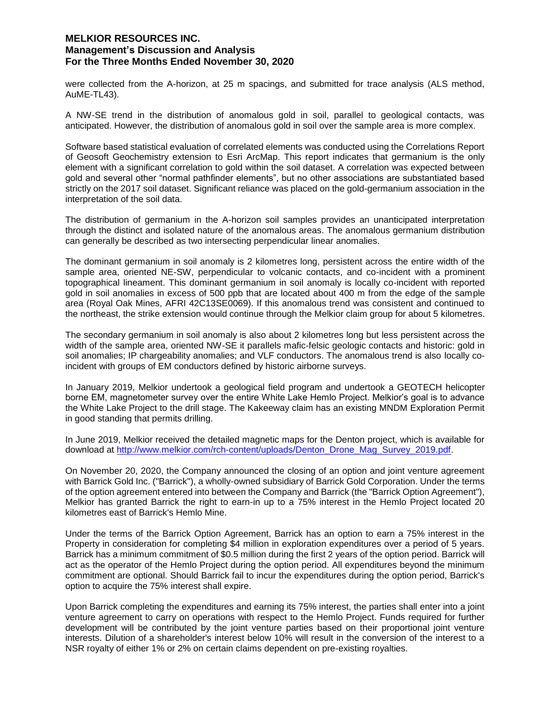were collected from the A-horizon, at 25 m spacings, and submitted for trace analysis (ALS method, AuME-TL43).

A NW-SE trend in the distribution of anomalous gold in soil, parallel to geological contacts, was anticipated. However, the distribution of anomalous gold in soil over the sample area is more complex.

Software based statistical evaluation of correlated elements was conducted using the Correlations Report of Geosoft Geochemistry extension to Esri ArcMap. This report indicates that germanium is the only element with a significant correlation to gold within the soil dataset. A correlation was expected between gold and several other "normal pathfinder elements", but no other associations are substantiated based strictly on the 2017 soil dataset. Significant reliance was placed on the gold-germanium association in the interpretation of the soil data.

The distribution of germanium in the A-horizon soil samples provides an unanticipated interpretation through the distinct and isolated nature of the anomalous areas. The anomalous germanium distribution can generally be described as two intersecting perpendicular linear anomalies.

The dominant germanium in soil anomaly is 2 kilometres long, persistent across the entire width of the sample area, oriented NE-SW, perpendicular to volcanic contacts, and co-incident with a prominent topographical lineament. This dominant germanium in soil anomaly is locally co-incident with reported gold in soil anomalies in excess of 500 ppb that are located about 400 m from the edge of the sample area (Royal Oak Mines, AFRI 42C13SE0069). If this anomalous trend was consistent and continued to the northeast, the strike extension would continue through the Melkior claim group for about 5 kilometres.

The secondary germanium in soil anomaly is also about 2 kilometres long but less persistent across the width of the sample area, oriented NW-SE it parallels mafic-felsic geologic contacts and historic: gold in soil anomalies; IP chargeability anomalies; and VLF conductors. The anomalous trend is also locally coincident with groups of EM conductors defined by historic airborne surveys.

In January 2019, Melkior undertook a geological field program and undertook a GEOTECH helicopter borne EM, magnetometer survey over the entire White Lake Hemlo Project. Melkior's goal is to advance the White Lake Project to the drill stage. The Kakeeway claim has an existing MNDM Exploration Permit in good standing that permits drilling.

In June 2019, Melkior received the detailed magnetic maps for the Denton project, which is available for download at http://www.melkior.com/rch-content/uploads/Denton\_Drone\_Mag\_Survey\_2019.pdf.

On November 20, 2020, the Company announced the closing of an option and joint venture agreement with Barrick Gold Inc. ("Barrick"), a wholly-owned subsidiary of Barrick Gold Corporation. Under the terms of the option agreement entered into between the Company and Barrick (the "Barrick Option Agreement"), Melkior has granted Barrick the right to earn-in up to a 75% interest in the Hemlo Project located 20 kilometres east of Barrick's Hemlo Mine.

Under the terms of the Barrick Option Agreement, Barrick has an option to earn a 75% interest in the Property in consideration for completing \$4 million in exploration expenditures over a period of 5 years. Barrick has a minimum commitment of \$0.5 million during the first 2 years of the option period. Barrick will act as the operator of the Hemlo Project during the option period. All expenditures beyond the minimum commitment are optional. Should Barrick fail to incur the expenditures during the option period, Barrick's option to acquire the 75% interest shall expire.

Upon Barrick completing the expenditures and earning its 75% interest, the parties shall enter into a joint venture agreement to carry on operations with respect to the Hemlo Project. Funds required for further development will be contributed by the joint venture parties based on their proportional joint venture interests. Dilution of a shareholder's interest below 10% will result in the conversion of the interest to a NSR royalty of either 1% or 2% on certain claims dependent on pre-existing royalties.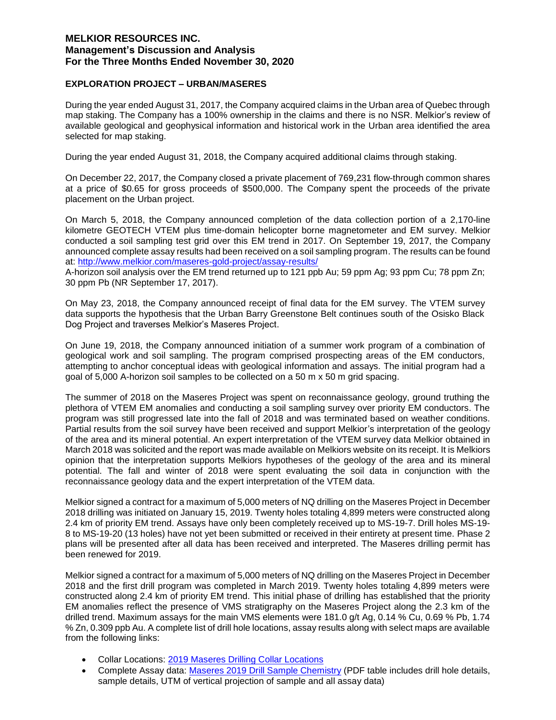### **EXPLORATION PROJECT – URBAN/MASERES**

During the year ended August 31, 2017, the Company acquired claims in the Urban area of Quebec through map staking. The Company has a 100% ownership in the claims and there is no NSR. Melkior's review of available geological and geophysical information and historical work in the Urban area identified the area selected for map staking.

During the year ended August 31, 2018, the Company acquired additional claims through staking.

On December 22, 2017, the Company closed a private placement of 769,231 flow-through common shares at a price of \$0.65 for gross proceeds of \$500,000. The Company spent the proceeds of the private placement on the Urban project.

On March 5, 2018, the Company announced completion of the data collection portion of a 2,170-line kilometre GEOTECH VTEM plus time-domain helicopter borne magnetometer and EM survey. Melkior conducted a soil sampling test grid over this EM trend in 2017. On September 19, 2017, the Company announced complete assay results had been received on a soil sampling program. The results can be found at: http://www.melkior.com/maseres-gold-project/assay-results/

A-horizon soil analysis over the EM trend returned up to 121 ppb Au; 59 ppm Ag; 93 ppm Cu; 78 ppm Zn; 30 ppm Pb (NR September 17, 2017).

On May 23, 2018, the Company announced receipt of final data for the EM survey. The VTEM survey data supports the hypothesis that the Urban Barry Greenstone Belt continues south of the Osisko Black Dog Project and traverses Melkior's Maseres Project.

On June 19, 2018, the Company announced initiation of a summer work program of a combination of geological work and soil sampling. The program comprised prospecting areas of the EM conductors, attempting to anchor conceptual ideas with geological information and assays. The initial program had a goal of 5,000 A-horizon soil samples to be collected on a 50 m x 50 m grid spacing.

The summer of 2018 on the Maseres Project was spent on reconnaissance geology, ground truthing the plethora of VTEM EM anomalies and conducting a soil sampling survey over priority EM conductors. The program was still progressed late into the fall of 2018 and was terminated based on weather conditions. Partial results from the soil survey have been received and support Melkior's interpretation of the geology of the area and its mineral potential. An expert interpretation of the VTEM survey data Melkior obtained in March 2018 was solicited and the report was made available on Melkiors website on its receipt. It is Melkiors opinion that the interpretation supports Melkiors hypotheses of the geology of the area and its mineral potential. The fall and winter of 2018 were spent evaluating the soil data in conjunction with the reconnaissance geology data and the expert interpretation of the VTEM data.

Melkior signed a contract for a maximum of 5,000 meters of NQ drilling on the Maseres Project in December 2018 drilling was initiated on January 15, 2019. Twenty holes totaling 4,899 meters were constructed along 2.4 km of priority EM trend. Assays have only been completely received up to MS-19-7. Drill holes MS-19- 8 to MS-19-20 (13 holes) have not yet been submitted or received in their entirety at present time. Phase 2 plans will be presented after all data has been received and interpreted. The Maseres drilling permit has been renewed for 2019.

Melkior signed a contract for a maximum of 5,000 meters of NQ drilling on the Maseres Project in December 2018 and the first drill program was completed in March 2019. Twenty holes totaling 4,899 meters were constructed along 2.4 km of priority EM trend. This initial phase of drilling has established that the priority EM anomalies reflect the presence of VMS stratigraphy on the Maseres Project along the 2.3 km of the drilled trend. Maximum assays for the main VMS elements were 181.0 g/t Ag, 0.14 % Cu, 0.69 % Pb, 1.74 % Zn, 0.309 ppb Au. A complete list of drill hole locations, assay results along with select maps are available from the following links:

- Collar Locations: 2019 Maseres Drilling Collar Locations
- Complete Assay data: Maseres 2019 Drill Sample Chemistry (PDF table includes drill hole details, sample details, UTM of vertical projection of sample and all assay data)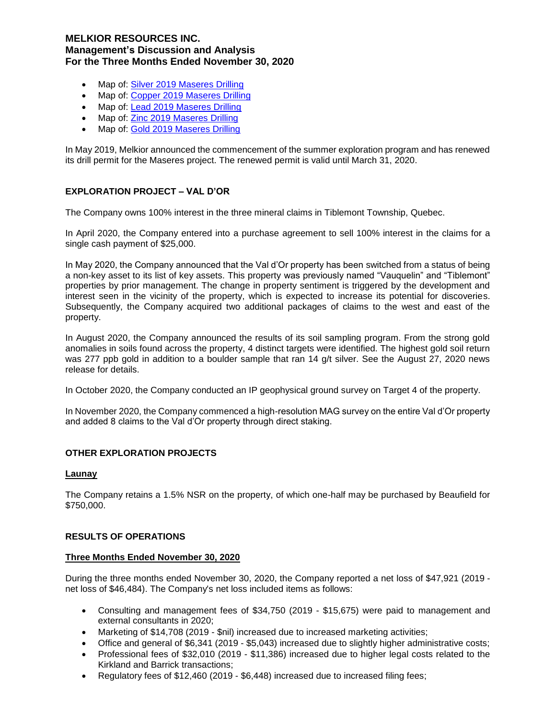- Map of: Silver 2019 Maseres Drilling
- Map of: Copper 2019 Maseres Drilling
- Map of: Lead 2019 Maseres Drilling
- Map of: Zinc 2019 Maseres Drilling
- Map of: Gold 2019 Maseres Drilling

In May 2019, Melkior announced the commencement of the summer exploration program and has renewed its drill permit for the Maseres project. The renewed permit is valid until March 31, 2020.

#### **EXPLORATION PROJECT – VAL D'OR**

The Company owns 100% interest in the three mineral claims in Tiblemont Township, Quebec.

In April 2020, the Company entered into a purchase agreement to sell 100% interest in the claims for a single cash payment of \$25,000.

In May 2020, the Company announced that the Val d'Or property has been switched from a status of being a non-key asset to its list of key assets. This property was previously named "Vauquelin" and "Tiblemont" properties by prior management. The change in property sentiment is triggered by the development and interest seen in the vicinity of the property, which is expected to increase its potential for discoveries. Subsequently, the Company acquired two additional packages of claims to the west and east of the property.

In August 2020, the Company announced the results of its soil sampling program. From the strong gold anomalies in soils found across the property, 4 distinct targets were identified. The highest gold soil return was 277 ppb gold in addition to a boulder sample that ran 14 g/t silver. See the August 27, 2020 news release for details.

In October 2020, the Company conducted an IP geophysical ground survey on Target 4 of the property.

In November 2020, the Company commenced a high-resolution MAG survey on the entire Val d'Or property and added 8 claims to the Val d'Or property through direct staking.

#### **OTHER EXPLORATION PROJECTS**

#### **Launay**

The Company retains a 1.5% NSR on the property, of which one-half may be purchased by Beaufield for \$750,000.

#### **RESULTS OF OPERATIONS**

#### **Three Months Ended November 30, 2020**

During the three months ended November 30, 2020, the Company reported a net loss of \$47,921 (2019 net loss of \$46,484). The Company's net loss included items as follows:

- Consulting and management fees of \$34,750 (2019 \$15,675) were paid to management and external consultants in 2020;
- Marketing of \$14,708 (2019 \$nil) increased due to increased marketing activities;
- Office and general of \$6,341 (2019 \$5,043) increased due to slightly higher administrative costs;
- Professional fees of \$32,010 (2019 \$11,386) increased due to higher legal costs related to the Kirkland and Barrick transactions;
- Regulatory fees of \$12,460 (2019 \$6,448) increased due to increased filing fees;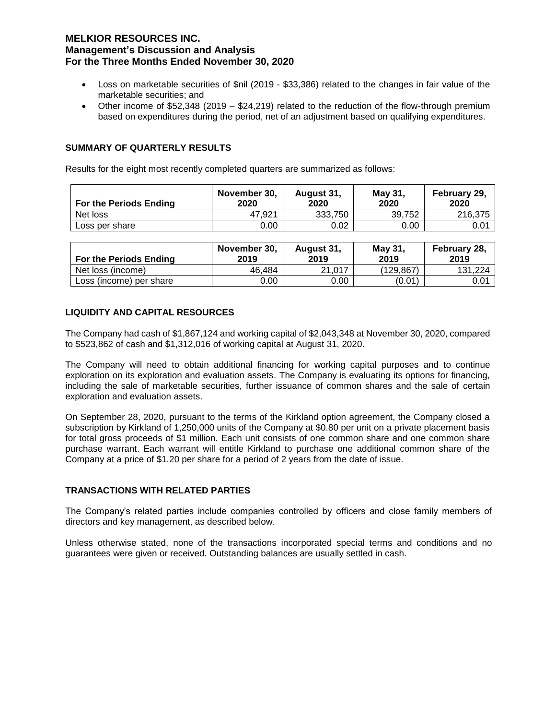- Loss on marketable securities of \$nil (2019 \$33,386) related to the changes in fair value of the marketable securities; and
- Other income of \$52,348 (2019 \$24,219) related to the reduction of the flow-through premium based on expenditures during the period, net of an adjustment based on qualifying expenditures.

# **SUMMARY OF QUARTERLY RESULTS**

Results for the eight most recently completed quarters are summarized as follows:

| For the Periods Ending | November 30,<br>2020 | August 31,<br>2020 | May 31.<br>2020 | February 29,<br>2020 |
|------------------------|----------------------|--------------------|-----------------|----------------------|
| Net loss               | 47.921               | 333,750            | 39,752          | 216.375              |
| Loss per share         | 0.00                 | 0.02               | 0.00            | 0.01                 |

| <b>For the Periods Ending</b> | November 30,<br>2019 | August 31,<br>2019 | May 31,<br>2019 | February 28,<br>2019 |
|-------------------------------|----------------------|--------------------|-----------------|----------------------|
| Net loss (income)             | 46.484               | 21,017             | (129, 867)      | 131,224              |
| Loss (income) per share       | 0.00                 | 0.00               | (0.01)          | 0.01                 |

## **LIQUIDITY AND CAPITAL RESOURCES**

The Company had cash of \$1,867,124 and working capital of \$2,043,348 at November 30, 2020, compared to \$523,862 of cash and \$1,312,016 of working capital at August 31, 2020.

The Company will need to obtain additional financing for working capital purposes and to continue exploration on its exploration and evaluation assets. The Company is evaluating its options for financing, including the sale of marketable securities, further issuance of common shares and the sale of certain exploration and evaluation assets.

On September 28, 2020, pursuant to the terms of the Kirkland option agreement, the Company closed a subscription by Kirkland of 1,250,000 units of the Company at \$0.80 per unit on a private placement basis for total gross proceeds of \$1 million. Each unit consists of one common share and one common share purchase warrant. Each warrant will entitle Kirkland to purchase one additional common share of the Company at a price of \$1.20 per share for a period of 2 years from the date of issue.

#### **TRANSACTIONS WITH RELATED PARTIES**

The Company's related parties include companies controlled by officers and close family members of directors and key management, as described below.

Unless otherwise stated, none of the transactions incorporated special terms and conditions and no guarantees were given or received. Outstanding balances are usually settled in cash.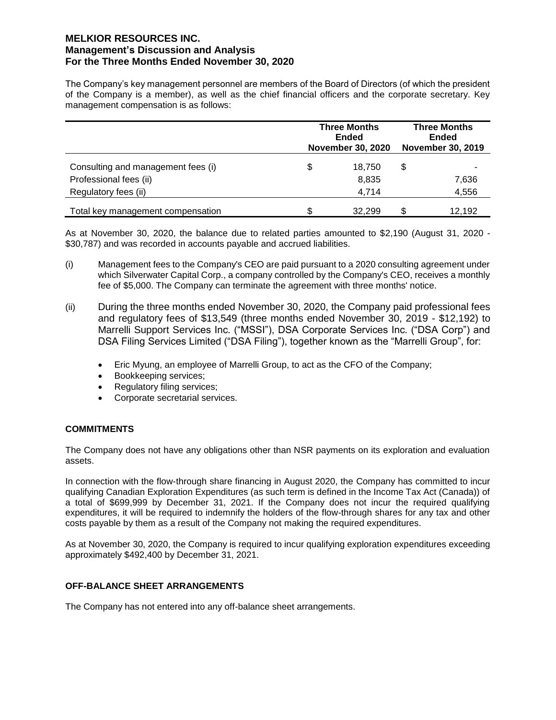The Company's key management personnel are members of the Board of Directors (of which the president of the Company is a member), as well as the chief financial officers and the corporate secretary. Key management compensation is as follows:

|                                    | <b>Three Months</b><br>Ended<br><b>November 30, 2020</b> |        | <b>Three Months</b><br><b>Ended</b><br><b>November 30, 2019</b> |        |
|------------------------------------|----------------------------------------------------------|--------|-----------------------------------------------------------------|--------|
| Consulting and management fees (i) | \$                                                       | 18.750 | \$                                                              |        |
| Professional fees (ii)             |                                                          | 8,835  |                                                                 | 7,636  |
| Regulatory fees (ii)               |                                                          | 4.714  |                                                                 | 4,556  |
| Total key management compensation  |                                                          | 32.299 | S                                                               | 12.192 |

As at November 30, 2020, the balance due to related parties amounted to \$2,190 (August 31, 2020 - \$30,787) and was recorded in accounts payable and accrued liabilities.

- (i) Management fees to the Company's CEO are paid pursuant to a 2020 consulting agreement under which Silverwater Capital Corp., a company controlled by the Company's CEO, receives a monthly fee of \$5,000. The Company can terminate the agreement with three months' notice.
- (ii) During the three months ended November 30, 2020, the Company paid professional fees and regulatory fees of \$13,549 (three months ended November 30, 2019 - \$12,192) to Marrelli Support Services Inc. ("MSSI"), DSA Corporate Services Inc. ("DSA Corp") and DSA Filing Services Limited ("DSA Filing"), together known as the "Marrelli Group", for:
	- Eric Myung, an employee of Marrelli Group, to act as the CFO of the Company;
	- Bookkeeping services;
	- Regulatory filing services;
	- Corporate secretarial services.

#### **COMMITMENTS**

The Company does not have any obligations other than NSR payments on its exploration and evaluation assets.

In connection with the flow-through share financing in August 2020, the Company has committed to incur qualifying Canadian Exploration Expenditures (as such term is defined in the Income Tax Act (Canada)) of a total of \$699,999 by December 31, 2021. If the Company does not incur the required qualifying expenditures, it will be required to indemnify the holders of the flow-through shares for any tax and other costs payable by them as a result of the Company not making the required expenditures.

As at November 30, 2020, the Company is required to incur qualifying exploration expenditures exceeding approximately \$492,400 by December 31, 2021.

#### **OFF-BALANCE SHEET ARRANGEMENTS**

The Company has not entered into any off-balance sheet arrangements.